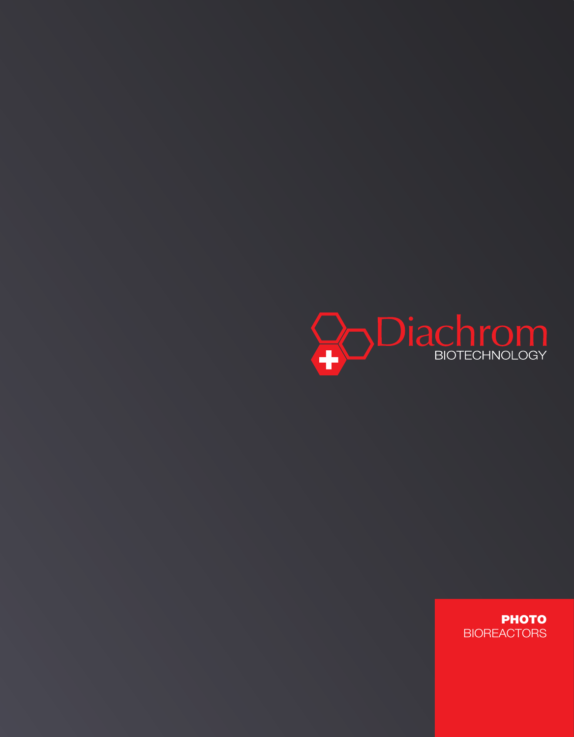

**PHOTO BIOREACTORS**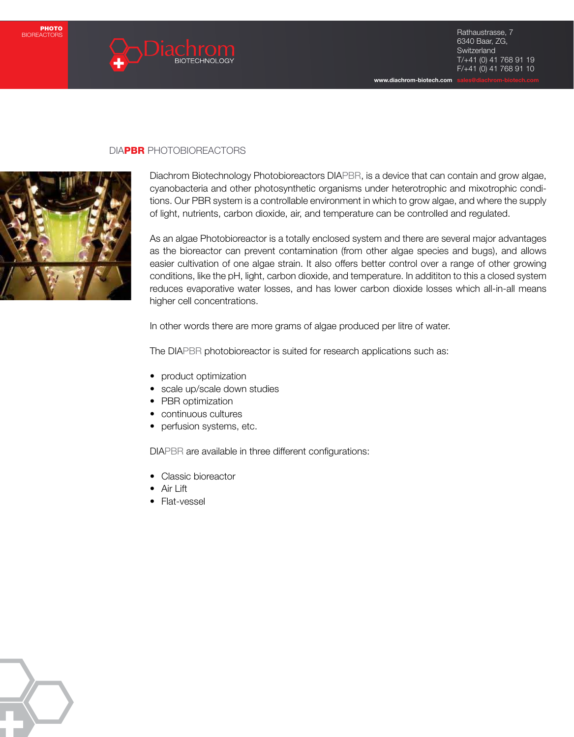

www.diachrom-biotech.com

## DIAPBR PHOTOBIOREACTORS



Diachrom Biotechnology Photobioreactors DIAPBR, is a device that can contain and grow algae, cyanobacteria and other photosynthetic organisms under heterotrophic and mixotrophic conditions. Our PBR system is a controllable environment in which to grow algae, and where the supply of light, nutrients, carbon dioxide, air, and temperature can be controlled and regulated.

As an algae Photobioreactor is a totally enclosed system and there are several major advantages as the bioreactor can prevent contamination (from other algae species and bugs), and allows easier cultivation of one algae strain. It also offers better control over a range of other growing conditions, like the pH, light, carbon dioxide, and temperature. In addititon to this a closed system reduces evaporative water losses, and has lower carbon dioxide losses which all-in-all means higher cell concentrations.

In other words there are more grams of algae produced per litre of water.

The DIAPBR photobioreactor is suited for research applications such as:

- product optimization
- scale up/scale down studies
- PBR optimization
- • continuous cultures
- perfusion systems, etc.

DIAPBR are available in three different configurations:

- Classic bioreactor
- Air Lift
- Flat-vessel